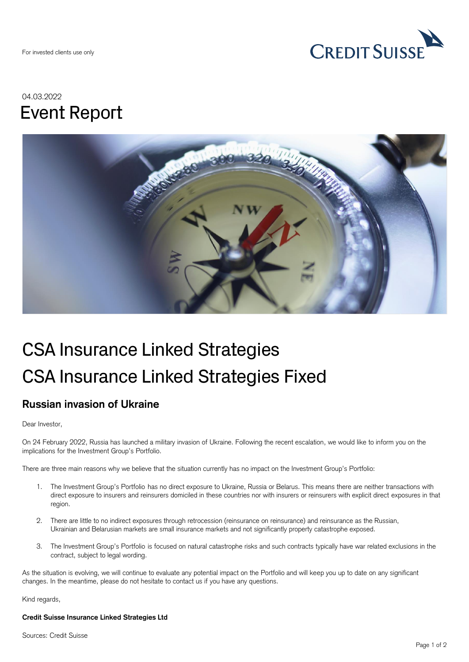

## 04.03.2022 Event Report



# CSA Insurance Linked Strategies CSA Insurance Linked Strategies Fixed

### **Russian invasion of Ukraine**

#### Dear Investor,

On 24 February 2022, Russia has launched a military invasion of Ukraine. Following the recent escalation, we would like to inform you on the implications for the Investment Group's Portfolio.

There are three main reasons why we believe that the situation currently has no impact on the Investment Group's Portfolio:

- 1. The Investment Group's Portfolio has no direct exposure to Ukraine, Russia or Belarus. This means there are neither transactions with direct exposure to insurers and reinsurers domiciled in these countries nor with insurers or reinsurers with explicit direct exposures in that region.
- 2. There are little to no indirect exposures through retrocession (reinsurance on reinsurance) and reinsurance as the Russian, Ukrainian and Belarusian markets are small insurance markets and not significantly property catastrophe exposed.
- 3. The Investment Group's Portfolio is focused on natural catastrophe risks and such contracts typically have war related exclusions in the contract, subject to legal wording.

As the situation is evolving, we will continue to evaluate any potential impact on the Portfolio and will keep you up to date on any significant changes. In the meantime, please do not hesitate to contact us if you have any questions.

Kind regards,

#### **Credit Suisse Insurance Linked Strategies Ltd**

Sources: Credit Suisse